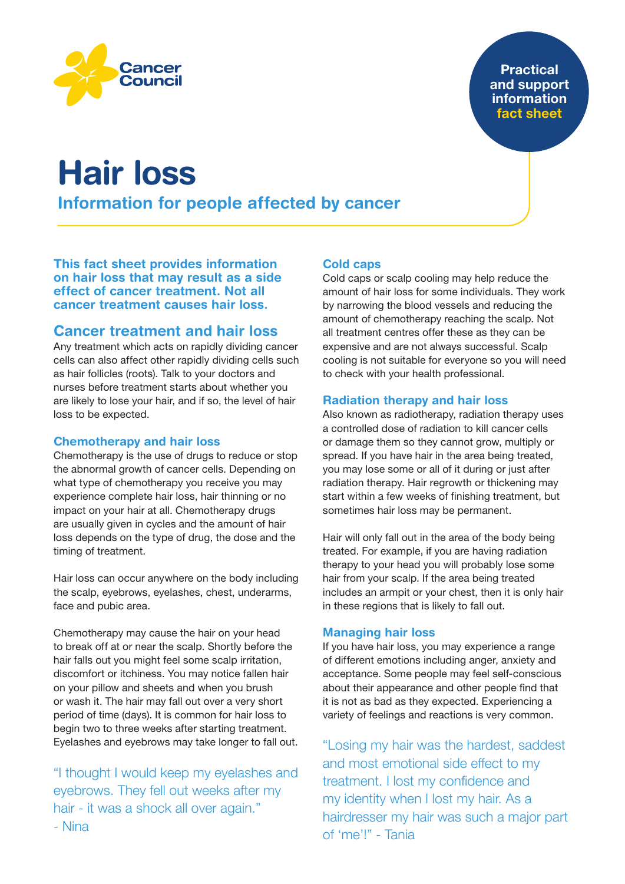**Practical** and support information fact sheet



Cancer ounci

Information for people affected by cancer

This fact sheet provides information on hair loss that may result as a side effect of cancer treatment. Not all cancer treatment causes hair loss.

## Cancer treatment and hair loss

Any treatment which acts on rapidly dividing cancer cells can also affect other rapidly dividing cells such as hair follicles (roots). Talk to your doctors and nurses before treatment starts about whether you are likely to lose your hair, and if so, the level of hair loss to be expected.

## Chemotherapy and hair loss

Chemotherapy is the use of drugs to reduce or stop the abnormal growth of cancer cells. Depending on what type of chemotherapy you receive you may experience complete hair loss, hair thinning or no impact on your hair at all. Chemotherapy drugs are usually given in cycles and the amount of hair loss depends on the type of drug, the dose and the timing of treatment.

Hair loss can occur anywhere on the body including the scalp, eyebrows, eyelashes, chest, underarms, face and pubic area.

Chemotherapy may cause the hair on your head to break off at or near the scalp. Shortly before the hair falls out you might feel some scalp irritation, discomfort or itchiness. You may notice fallen hair on your pillow and sheets and when you brush or wash it. The hair may fall out over a very short period of time (days). It is common for hair loss to begin two to three weeks after starting treatment. Eyelashes and eyebrows may take longer to fall out.

"I thought I would keep my eyelashes and eyebrows. They fell out weeks after my hair - it was a shock all over again." - Nina

## Cold caps

Cold caps or scalp cooling may help reduce the amount of hair loss for some individuals. They work by narrowing the blood vessels and reducing the amount of chemotherapy reaching the scalp. Not all treatment centres offer these as they can be expensive and are not always successful. Scalp cooling is not suitable for everyone so you will need to check with your health professional.

## Radiation therapy and hair loss

Also known as radiotherapy, radiation therapy uses a controlled dose of radiation to kill cancer cells or damage them so they cannot grow, multiply or spread. If you have hair in the area being treated, you may lose some or all of it during or just after radiation therapy. Hair regrowth or thickening may start within a few weeks of finishing treatment, but sometimes hair loss may be permanent.

Hair will only fall out in the area of the body being treated. For example, if you are having radiation therapy to your head you will probably lose some hair from your scalp. If the area being treated includes an armpit or your chest, then it is only hair in these regions that is likely to fall out.

## Managing hair loss

If you have hair loss, you may experience a range of different emotions including anger, anxiety and acceptance. Some people may feel self-conscious about their appearance and other people find that it is not as bad as they expected. Experiencing a variety of feelings and reactions is very common.

"Losing my hair was the hardest, saddest and most emotional side effect to my treatment. I lost my confidence and my identity when I lost my hair. As a hairdresser my hair was such a major part of 'me'!" - Tania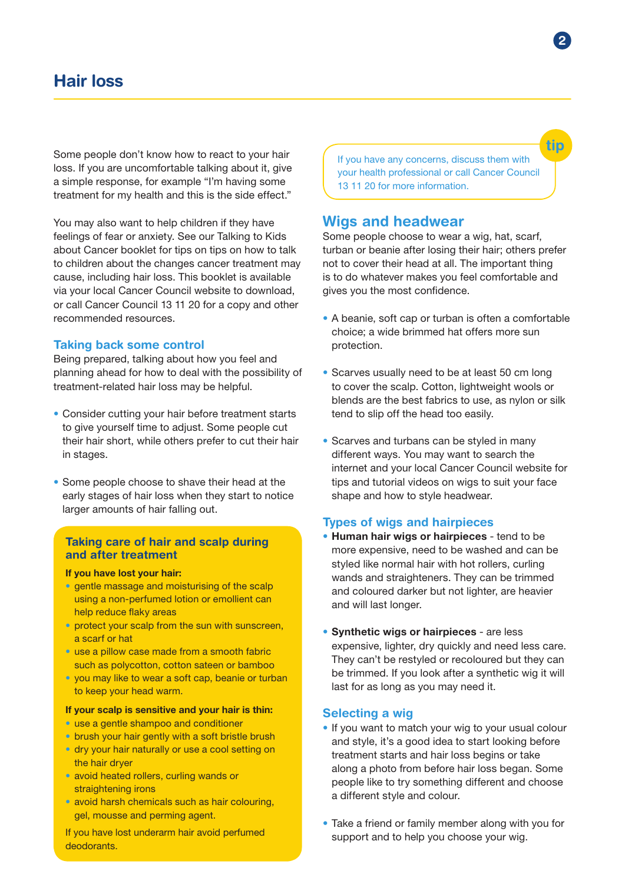# Hair loss

Some people don't know how to react to your hair loss. If you are uncomfortable talking about it, give a simple response, for example "I'm having some treatment for my health and this is the side effect."

You may also want to help children if they have feelings of fear or anxiety. See our Talking to Kids about Cancer booklet for tips on tips on how to talk to children about the changes cancer treatment may cause, including hair loss. This booklet is available via your local Cancer Council website to download, or call Cancer Council 13 11 20 for a copy and other recommended resources.

#### Taking back some control

Being prepared, talking about how you feel and planning ahead for how to deal with the possibility of treatment-related hair loss may be helpful.

- Consider cutting your hair before treatment starts to give yourself time to adjust. Some people cut their hair short, while others prefer to cut their hair in stages.
- Some people choose to shave their head at the early stages of hair loss when they start to notice larger amounts of hair falling out.

#### Taking care of hair and scalp during and after treatment

#### If you have lost your hair:

- gentle massage and moisturising of the scalp using a non-perfumed lotion or emollient can help reduce flaky areas
- protect your scalp from the sun with sunscreen, a scarf or hat
- use a pillow case made from a smooth fabric such as polycotton, cotton sateen or bamboo
- you may like to wear a soft cap, beanie or turban to keep your head warm.

#### If your scalp is sensitive and your hair is thin:

- use a gentle shampoo and conditioner
- brush your hair gently with a soft bristle brush
- dry your hair naturally or use a cool setting on the hair dryer
- avoid heated rollers, curling wands or straightening irons
- avoid harsh chemicals such as hair colouring. gel, mousse and perming agent.

If you have lost underarm hair avoid perfumed deodorants.

If you have any concerns, discuss them with your health professional or call Cancer Council 13 11 20 for more information.

## Wigs and headwear

Some people choose to wear a wig, hat, scarf, turban or beanie after losing their hair; others prefer not to cover their head at all. The important thing is to do whatever makes you feel comfortable and gives you the most confidence.

- A beanie, soft cap or turban is often a comfortable choice; a wide brimmed hat offers more sun protection.
- Scarves usually need to be at least 50 cm long to cover the scalp. Cotton, lightweight wools or blends are the best fabrics to use, as nylon or silk tend to slip off the head too easily.
- Scarves and turbans can be styled in many different ways. You may want to search the internet and your local Cancer Council website for tips and tutorial videos on wigs to suit your face shape and how to style headwear.

#### Types of wigs and hairpieces

- Human hair wigs or hairpieces tend to be more expensive, need to be washed and can be styled like normal hair with hot rollers, curling wands and straighteners. They can be trimmed and coloured darker but not lighter, are heavier and will last longer.
- Synthetic wigs or hairpieces are less expensive, lighter, dry quickly and need less care. They can't be restyled or recoloured but they can be trimmed. If you look after a synthetic wig it will last for as long as you may need it.

#### Selecting a wig

- If you want to match your wig to your usual colour and style, it's a good idea to start looking before treatment starts and hair loss begins or take along a photo from before hair loss began. Some people like to try something different and choose a different style and colour.
- Take a friend or family member along with you for support and to help you choose your wig.

tip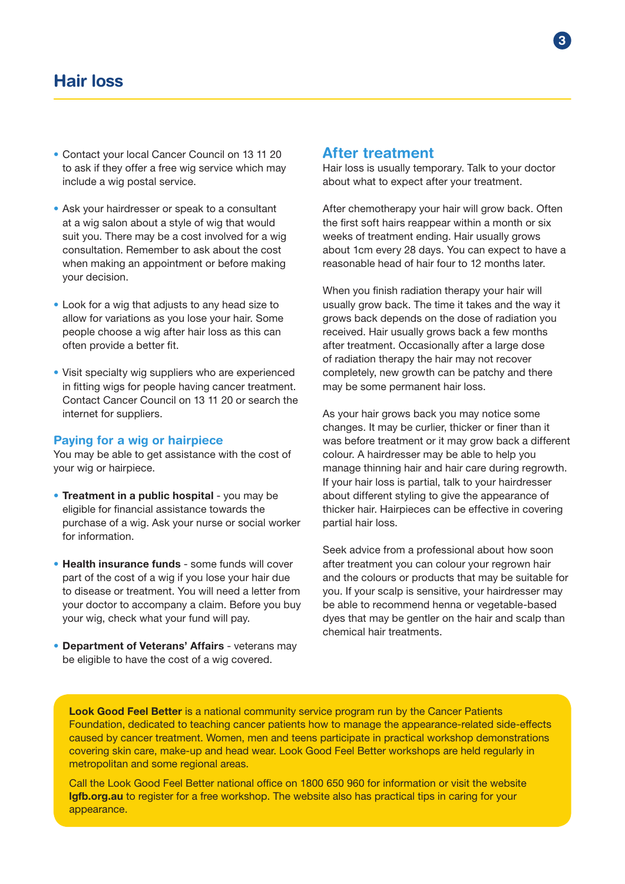- Contact your local Cancer Council on 13 11 20 to ask if they offer a free wig service which may include a wig postal service.
- Ask your hairdresser or speak to a consultant at a wig salon about a style of wig that would suit you. There may be a cost involved for a wig consultation. Remember to ask about the cost when making an appointment or before making your decision.
- Look for a wig that adjusts to any head size to allow for variations as you lose your hair. Some people choose a wig after hair loss as this can often provide a better fit.
- Visit specialty wig suppliers who are experienced in fitting wigs for people having cancer treatment. Contact Cancer Council on 13 11 20 or search the internet for suppliers.

#### Paying for a wig or hairpiece

You may be able to get assistance with the cost of your wig or hairpiece.

- Treatment in a public hospital you may be eligible for financial assistance towards the purchase of a wig. Ask your nurse or social worker for information.
- Health insurance funds some funds will cover part of the cost of a wig if you lose your hair due to disease or treatment. You will need a letter from your doctor to accompany a claim. Before you buy your wig, check what your fund will pay.
- Department of Veterans' Affairs veterans may be eligible to have the cost of a wig covered.

### After treatment

Hair loss is usually temporary. Talk to your doctor about what to expect after your treatment.

After chemotherapy your hair will grow back. Often the first soft hairs reappear within a month or six weeks of treatment ending. Hair usually grows about 1cm every 28 days. You can expect to have a reasonable head of hair four to 12 months later.

When you finish radiation therapy your hair will usually grow back. The time it takes and the way it grows back depends on the dose of radiation you received. Hair usually grows back a few months after treatment. Occasionally after a large dose of radiation therapy the hair may not recover completely, new growth can be patchy and there may be some permanent hair loss.

As your hair grows back you may notice some changes. It may be curlier, thicker or finer than it was before treatment or it may grow back a different colour. A hairdresser may be able to help you manage thinning hair and hair care during regrowth. If your hair loss is partial, talk to your hairdresser about different styling to give the appearance of thicker hair. Hairpieces can be effective in covering partial hair loss.

Seek advice from a professional about how soon after treatment you can colour your regrown hair and the colours or products that may be suitable for you. If your scalp is sensitive, your hairdresser may be able to recommend henna or vegetable-based dyes that may be gentler on the hair and scalp than chemical hair treatments.

Look Good Feel Better is a national community service program run by the Cancer Patients Foundation, dedicated to teaching cancer patients how to manage the appearance-related side-effects caused by cancer treatment. Women, men and teens participate in practical workshop demonstrations covering skin care, make-up and head wear. Look Good Feel Better workshops are held regularly in metropolitan and some regional areas.

Call the Look Good Feel Better national office on 1800 650 960 for information or visit the website [lgfb.org.au](https://lgfb.org.au/) to register for a free workshop. The website also has practical tips in caring for your appearance.